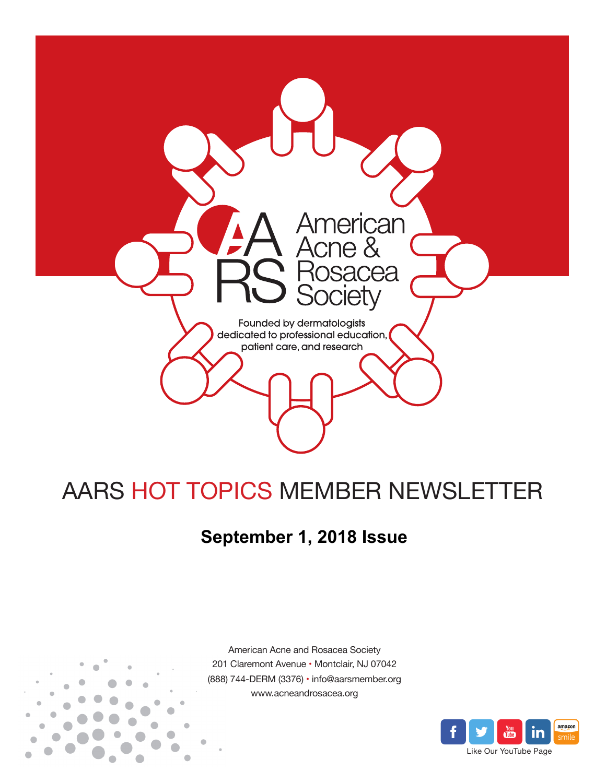

# AARS HOT TOPICS MEMBER NEWSLETTER

## **September 1, 2018 Issue**



American Acne and Rosacea Society 201 Claremont Avenue • Montclair, NJ 07042 (888) 744-DERM (3376) • info@aarsmember.org www.acneandrosacea.org

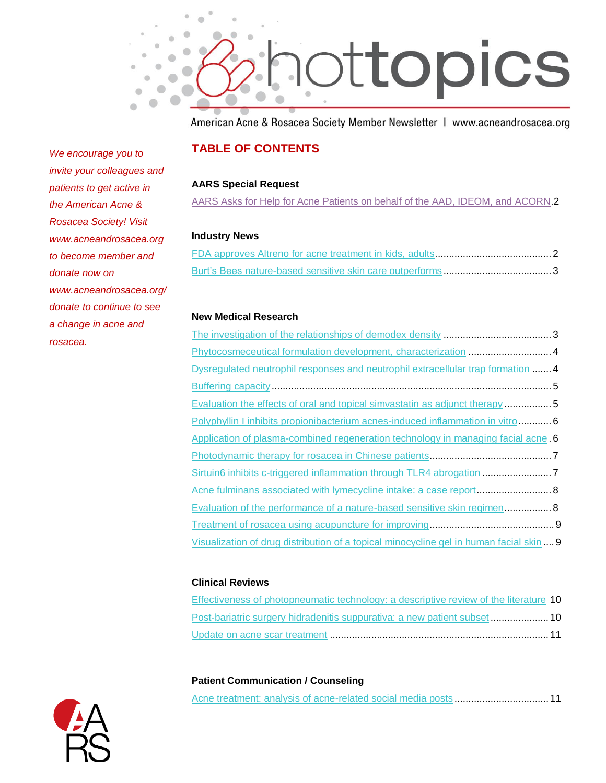

American Acne & Rosacea Society Member Newsletter | www.acneandrosacea.org

## **TABLE OF CONTENTS**

#### **AARS Special Request**

[AARS Asks for Help for Acne Patients on behalf of the AAD, IDEOM, and ACORN.](#page-2-0)2

#### **Industry News**

#### **New Medical Research**

| Dysregulated neutrophil responses and neutrophil extracellular trap formation 4        |  |
|----------------------------------------------------------------------------------------|--|
|                                                                                        |  |
| Evaluation the effects of oral and topical simvastatin as adjunct therapy 5            |  |
| Polyphyllin I inhibits propionibacterium acnes-induced inflammation in vitro6          |  |
| Application of plasma-combined regeneration technology in managing facial acne. 6      |  |
|                                                                                        |  |
| Sirtuin6 inhibits c-triggered inflammation through TLR4 abrogation 7                   |  |
| Acne fulminans associated with lymecycline intake: a case report  8                    |  |
| Evaluation of the performance of a nature-based sensitive skin regimen 8               |  |
|                                                                                        |  |
| Visualization of drug distribution of a topical minocycline gel in human facial skin 9 |  |
|                                                                                        |  |

#### **Clinical Reviews**

| Effectiveness of photopneumatic technology: a descriptive review of the literature 10 |  |
|---------------------------------------------------------------------------------------|--|
| <b>Post-bariatric surgery hidradenitis suppurativa: a new patient subset  10</b>      |  |
|                                                                                       |  |

#### **Patient Communication / Counseling**

*We encourage you to invite your colleagues and patients to get active in the American Acne & Rosacea Society! Visit www.acneandrosacea.org to become member and donate now on www.acneandrosacea.org/ donate to continue to see a change in acne and rosacea.*

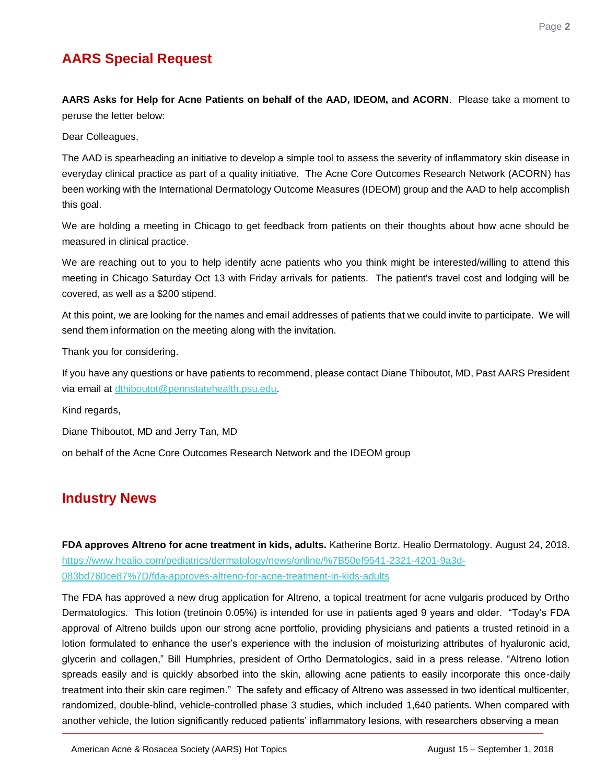## **AARS Special Request**

<span id="page-2-0"></span>**AARS Asks for Help for Acne Patients on behalf of the AAD, IDEOM, and ACORN**. Please take a moment to peruse the letter below:

Dear Colleagues,

The AAD is spearheading an initiative to develop a simple tool to assess the severity of inflammatory skin disease in everyday clinical practice as part of a quality initiative. The Acne Core Outcomes Research Network (ACORN) has been working with the International Dermatology Outcome Measures (IDEOM) group and the AAD to help accomplish this goal.

We are holding a meeting in Chicago to get feedback from patients on their thoughts about how acne should be measured in clinical practice.

We are reaching out to you to help identify acne patients who you think might be interested/willing to attend this meeting in Chicago Saturday Oct 13 with Friday arrivals for patients. The patient's travel cost and lodging will be covered, as well as a \$200 stipend.

At this point, we are looking for the names and email addresses of patients that we could invite to participate. We will send them information on the meeting along with the invitation.

Thank you for considering.

If you have any questions or have patients to recommend, please contact Diane Thiboutot, MD, Past AARS President via email at [dthiboutot@pennstatehealth.psu.edu.](mailto:dthiboutot@pennstatehealth.psu.edu)

Kind regards,

Diane Thiboutot, MD and Jerry Tan, MD

on behalf of the Acne Core Outcomes Research Network and the IDEOM group

## **Industry News**

<span id="page-2-1"></span>**FDA approves Altreno for acne treatment in kids, adults.** Katherine Bortz. Healio Dermatology. August 24, 2018. [https://www.healio.com/pediatrics/dermatology/news/online/%7B50ef9541-2321-4201-9a3d-](https://www.healio.com/pediatrics/dermatology/news/online/%7B50ef9541-2321-4201-9a3d-083bd760ce87%7D/fda-approves-altreno-for-acne-treatment-in-kids-adults)[083bd760ce87%7D/fda-approves-altreno-for-acne-treatment-in-kids-adults](https://www.healio.com/pediatrics/dermatology/news/online/%7B50ef9541-2321-4201-9a3d-083bd760ce87%7D/fda-approves-altreno-for-acne-treatment-in-kids-adults)

The FDA has approved a new drug application for Altreno, a topical treatment for acne vulgaris produced by Ortho Dermatologics. This lotion (tretinoin 0.05%) is intended for use in patients aged 9 years and older. "Today's FDA approval of Altreno builds upon our strong acne portfolio, providing physicians and patients a trusted retinoid in a lotion formulated to enhance the user's experience with the inclusion of moisturizing attributes of hyaluronic acid, glycerin and collagen," Bill Humphries, president of Ortho Dermatologics, said in a press release. "Altreno lotion spreads easily and is quickly absorbed into the skin, allowing acne patients to easily incorporate this once-daily treatment into their skin care regimen." The safety and efficacy of Altreno was assessed in two identical multicenter, randomized, double-blind, vehicle-controlled phase 3 studies, which included 1,640 patients. When compared with another vehicle, the lotion significantly reduced patients' inflammatory lesions, with researchers observing a mean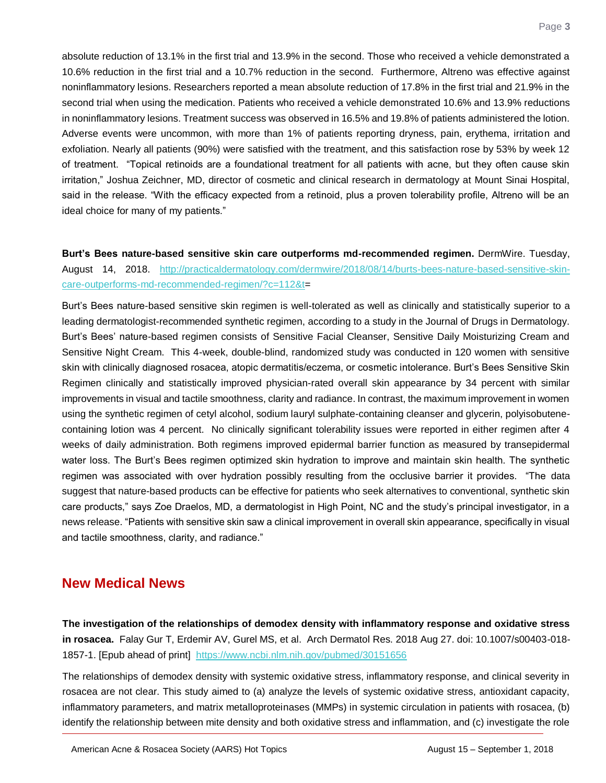absolute reduction of 13.1% in the first trial and 13.9% in the second. Those who received a vehicle demonstrated a 10.6% reduction in the first trial and a 10.7% reduction in the second. Furthermore, Altreno was effective against noninflammatory lesions. Researchers reported a mean absolute reduction of 17.8% in the first trial and 21.9% in the second trial when using the medication. Patients who received a vehicle demonstrated 10.6% and 13.9% reductions in noninflammatory lesions. Treatment success was observed in 16.5% and 19.8% of patients administered the lotion. Adverse events were uncommon, with more than 1% of patients reporting dryness, pain, erythema, irritation and exfoliation. Nearly all patients (90%) were satisfied with the treatment, and this satisfaction rose by 53% by week 12 of treatment. "Topical retinoids are a foundational treatment for all patients with acne, but they often cause skin irritation," Joshua Zeichner, MD, director of cosmetic and clinical research in dermatology at Mount Sinai Hospital, said in the release. "With the efficacy expected from a retinoid, plus a proven tolerability profile, Altreno will be an ideal choice for many of my patients."

<span id="page-3-0"></span>**Burt's Bees nature-based sensitive skin care outperforms md-recommended regimen.** DermWire. Tuesday, August 14, 2018. [http://practicaldermatology.com/dermwire/2018/08/14/burts-bees-nature-based-sensitive-skin](http://practicaldermatology.com/dermwire/2018/08/14/burts-bees-nature-based-sensitive-skin-care-outperforms-md-recommended-regimen/?c=112&t)[care-outperforms-md-recommended-regimen/?c=112&t=](http://practicaldermatology.com/dermwire/2018/08/14/burts-bees-nature-based-sensitive-skin-care-outperforms-md-recommended-regimen/?c=112&t)

Burt's Bees nature-based sensitive skin regimen is well-tolerated as well as clinically and statistically superior to a leading dermatologist-recommended synthetic regimen, according to a study in the Journal of Drugs in Dermatology. Burt's Bees' nature-based regimen consists of Sensitive Facial Cleanser, Sensitive Daily Moisturizing Cream and Sensitive Night Cream. This 4-week, double-blind, randomized study was conducted in 120 women with sensitive skin with clinically diagnosed rosacea, atopic dermatitis/eczema, or cosmetic intolerance. Burt's Bees Sensitive Skin Regimen clinically and statistically improved physician-rated overall skin appearance by 34 percent with similar improvements in visual and tactile smoothness, clarity and radiance. In contrast, the maximum improvement in women using the synthetic regimen of cetyl alcohol, sodium lauryl sulphate-containing cleanser and glycerin, polyisobutenecontaining lotion was 4 percent. No clinically significant tolerability issues were reported in either regimen after 4 weeks of daily administration. Both regimens improved epidermal barrier function as measured by transepidermal water loss. The Burt's Bees regimen optimized skin hydration to improve and maintain skin health. The synthetic regimen was associated with over hydration possibly resulting from the occlusive barrier it provides. "The data suggest that nature-based products can be effective for patients who seek alternatives to conventional, synthetic skin care products," says Zoe Draelos, MD, a dermatologist in High Point, NC and the study's principal investigator, in a news release. "Patients with sensitive skin saw a clinical improvement in overall skin appearance, specifically in visual and tactile smoothness, clarity, and radiance."

## **New Medical News**

<span id="page-3-1"></span>**The investigation of the relationships of demodex density with inflammatory response and oxidative stress in rosacea.** Falay Gur T, Erdemir AV, Gurel MS, et al. Arch Dermatol Res. 2018 Aug 27. doi: 10.1007/s00403-018- 1857-1. [Epub ahead of print] <https://www.ncbi.nlm.nih.gov/pubmed/30151656>

The relationships of demodex density with systemic oxidative stress, inflammatory response, and clinical severity in rosacea are not clear. This study aimed to (a) analyze the levels of systemic oxidative stress, antioxidant capacity, inflammatory parameters, and matrix metalloproteinases (MMPs) in systemic circulation in patients with rosacea, (b) identify the relationship between mite density and both oxidative stress and inflammation, and (c) investigate the role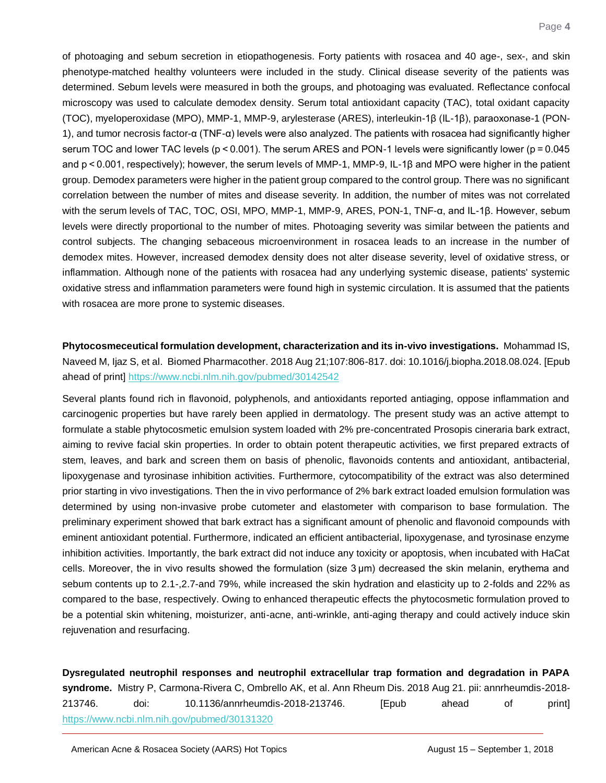of photoaging and sebum secretion in etiopathogenesis. Forty patients with rosacea and 40 age-, sex-, and skin phenotype-matched healthy volunteers were included in the study. Clinical disease severity of the patients was determined. Sebum levels were measured in both the groups, and photoaging was evaluated. Reflectance confocal microscopy was used to calculate demodex density. Serum total antioxidant capacity (TAC), total oxidant capacity (TOC), myeloperoxidase (MPO), MMP-1, MMP-9, arylesterase (ARES), interleukin-1β (IL-1β), paraoxonase-1 (PON-1), and tumor necrosis factor-α (TNF-α) levels were also analyzed. The patients with rosacea had significantly higher serum TOC and lower TAC levels (p < 0.001). The serum ARES and PON-1 levels were significantly lower (p = 0.045 and p < 0.001, respectively); however, the serum levels of MMP-1, MMP-9, IL-1β and MPO were higher in the patient group. Demodex parameters were higher in the patient group compared to the control group. There was no significant correlation between the number of mites and disease severity. In addition, the number of mites was not correlated with the serum levels of TAC, TOC, OSI, MPO, MMP-1, MMP-9, ARES, PON-1, TNF-α, and IL-1β. However, sebum levels were directly proportional to the number of mites. Photoaging severity was similar between the patients and control subjects. The changing sebaceous microenvironment in rosacea leads to an increase in the number of demodex mites. However, increased demodex density does not alter disease severity, level of oxidative stress, or inflammation. Although none of the patients with rosacea had any underlying systemic disease, patients' systemic oxidative stress and inflammation parameters were found high in systemic circulation. It is assumed that the patients with rosacea are more prone to systemic diseases.

<span id="page-4-0"></span>**Phytocosmeceutical formulation development, characterization and its in-vivo investigations.** Mohammad IS, Naveed M, Ijaz S, et al. Biomed Pharmacother. 2018 Aug 21;107:806-817. doi: 10.1016/j.biopha.2018.08.024. [Epub ahead of print[\] https://www.ncbi.nlm.nih.gov/pubmed/30142542](https://www.ncbi.nlm.nih.gov/pubmed/30142542)

Several plants found rich in flavonoid, polyphenols, and antioxidants reported antiaging, oppose inflammation and carcinogenic properties but have rarely been applied in dermatology. The present study was an active attempt to formulate a stable phytocosmetic emulsion system loaded with 2% pre-concentrated Prosopis cineraria bark extract, aiming to revive facial skin properties. In order to obtain potent therapeutic activities, we first prepared extracts of stem, leaves, and bark and screen them on basis of phenolic, flavonoids contents and antioxidant, antibacterial, lipoxygenase and tyrosinase inhibition activities. Furthermore, cytocompatibility of the extract was also determined prior starting in vivo investigations. Then the in vivo performance of 2% bark extract loaded emulsion formulation was determined by using non-invasive probe cutometer and elastometer with comparison to base formulation. The preliminary experiment showed that bark extract has a significant amount of phenolic and flavonoid compounds with eminent antioxidant potential. Furthermore, indicated an efficient antibacterial, lipoxygenase, and tyrosinase enzyme inhibition activities. Importantly, the bark extract did not induce any toxicity or apoptosis, when incubated with HaCat cells. Moreover, the in vivo results showed the formulation (size 3 μm) decreased the skin melanin, erythema and sebum contents up to 2.1-,2.7-and 79%, while increased the skin hydration and elasticity up to 2-folds and 22% as compared to the base, respectively. Owing to enhanced therapeutic effects the phytocosmetic formulation proved to be a potential skin whitening, moisturizer, anti-acne, anti-wrinkle, anti-aging therapy and could actively induce skin rejuvenation and resurfacing.

<span id="page-4-1"></span>**Dysregulated neutrophil responses and neutrophil extracellular trap formation and degradation in PAPA syndrome.** Mistry P, Carmona-Rivera C, Ombrello AK, et al. Ann Rheum Dis. 2018 Aug 21. pii: annrheumdis-2018- 213746. doi: 10.1136/annrheumdis-2018-213746. [Epub ahead of print] <https://www.ncbi.nlm.nih.gov/pubmed/30131320>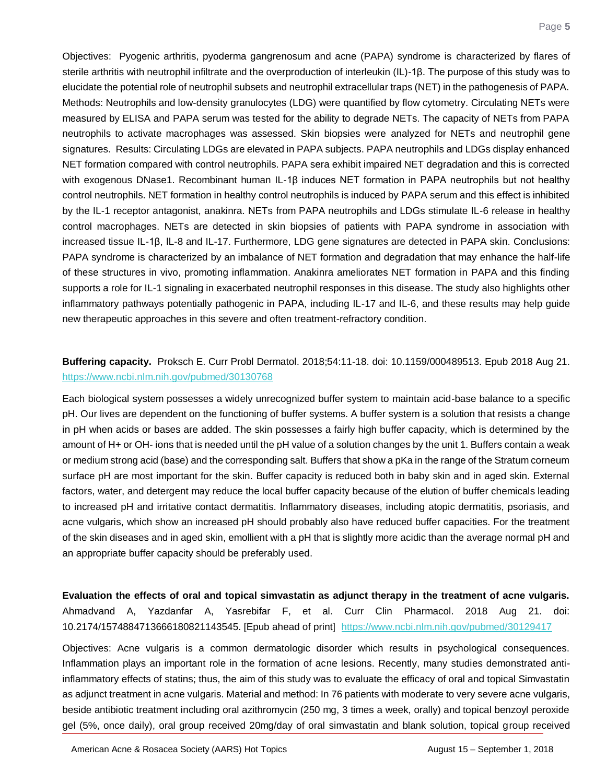Objectives: Pyogenic arthritis, pyoderma gangrenosum and acne (PAPA) syndrome is characterized by flares of sterile arthritis with neutrophil infiltrate and the overproduction of interleukin (IL)-1β. The purpose of this study was to elucidate the potential role of neutrophil subsets and neutrophil extracellular traps (NET) in the pathogenesis of PAPA. Methods: Neutrophils and low-density granulocytes (LDG) were quantified by flow cytometry. Circulating NETs were measured by ELISA and PAPA serum was tested for the ability to degrade NETs. The capacity of NETs from PAPA neutrophils to activate macrophages was assessed. Skin biopsies were analyzed for NETs and neutrophil gene signatures. Results: Circulating LDGs are elevated in PAPA subjects. PAPA neutrophils and LDGs display enhanced NET formation compared with control neutrophils. PAPA sera exhibit impaired NET degradation and this is corrected with exogenous DNase1. Recombinant human IL-1β induces NET formation in PAPA neutrophils but not healthy control neutrophils. NET formation in healthy control neutrophils is induced by PAPA serum and this effect is inhibited by the IL-1 receptor antagonist, anakinra. NETs from PAPA neutrophils and LDGs stimulate IL-6 release in healthy control macrophages. NETs are detected in skin biopsies of patients with PAPA syndrome in association with increased tissue IL-1β, IL-8 and IL-17. Furthermore, LDG gene signatures are detected in PAPA skin. Conclusions: PAPA syndrome is characterized by an imbalance of NET formation and degradation that may enhance the half-life of these structures in vivo, promoting inflammation. Anakinra ameliorates NET formation in PAPA and this finding supports a role for IL-1 signaling in exacerbated neutrophil responses in this disease. The study also highlights other inflammatory pathways potentially pathogenic in PAPA, including IL-17 and IL-6, and these results may help guide new therapeutic approaches in this severe and often treatment-refractory condition.

#### <span id="page-5-0"></span>**Buffering capacity.** Proksch E. Curr Probl Dermatol. 2018;54:11-18. doi: 10.1159/000489513. Epub 2018 Aug 21. <https://www.ncbi.nlm.nih.gov/pubmed/30130768>

Each biological system possesses a widely unrecognized buffer system to maintain acid-base balance to a specific pH. Our lives are dependent on the functioning of buffer systems. A buffer system is a solution that resists a change in pH when acids or bases are added. The skin possesses a fairly high buffer capacity, which is determined by the amount of H+ or OH- ions that is needed until the pH value of a solution changes by the unit 1. Buffers contain a weak or medium strong acid (base) and the corresponding salt. Buffers that show a pKa in the range of the Stratum corneum surface pH are most important for the skin. Buffer capacity is reduced both in baby skin and in aged skin. External factors, water, and detergent may reduce the local buffer capacity because of the elution of buffer chemicals leading to increased pH and irritative contact dermatitis. Inflammatory diseases, including atopic dermatitis, psoriasis, and acne vulgaris, which show an increased pH should probably also have reduced buffer capacities. For the treatment of the skin diseases and in aged skin, emollient with a pH that is slightly more acidic than the average normal pH and an appropriate buffer capacity should be preferably used.

<span id="page-5-1"></span>**Evaluation the effects of oral and topical simvastatin as adjunct therapy in the treatment of acne vulgaris.** Ahmadvand A, Yazdanfar A, Yasrebifar F, et al. Curr Clin Pharmacol. 2018 Aug 21. doi: 10.2174/1574884713666180821143545. [Epub ahead of print] <https://www.ncbi.nlm.nih.gov/pubmed/30129417>

Objectives: Acne vulgaris is a common dermatologic disorder which results in psychological consequences. Inflammation plays an important role in the formation of acne lesions. Recently, many studies demonstrated antiinflammatory effects of statins; thus, the aim of this study was to evaluate the efficacy of oral and topical Simvastatin as adjunct treatment in acne vulgaris. Material and method: In 76 patients with moderate to very severe acne vulgaris, beside antibiotic treatment including oral azithromycin (250 mg, 3 times a week, orally) and topical benzoyl peroxide gel (5%, once daily), oral group received 20mg/day of oral simvastatin and blank solution, topical group received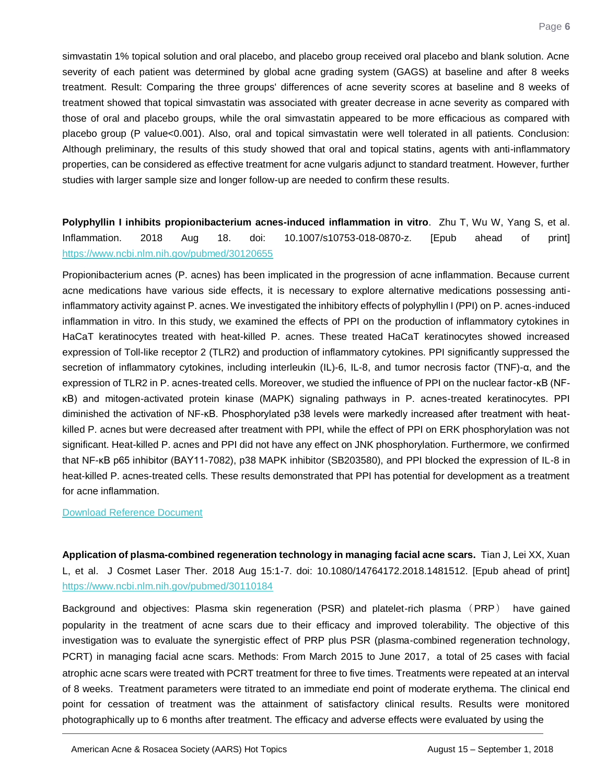simvastatin 1% topical solution and oral placebo, and placebo group received oral placebo and blank solution. Acne severity of each patient was determined by global acne grading system (GAGS) at baseline and after 8 weeks treatment. Result: Comparing the three groups' differences of acne severity scores at baseline and 8 weeks of treatment showed that topical simvastatin was associated with greater decrease in acne severity as compared with those of oral and placebo groups, while the oral simvastatin appeared to be more efficacious as compared with placebo group (P value<0.001). Also, oral and topical simvastatin were well tolerated in all patients. Conclusion: Although preliminary, the results of this study showed that oral and topical statins, agents with anti-inflammatory properties, can be considered as effective treatment for acne vulgaris adjunct to standard treatment. However, further studies with larger sample size and longer follow-up are needed to confirm these results.

## <span id="page-6-0"></span>**Polyphyllin I inhibits propionibacterium acnes-induced inflammation in vitro**. Zhu T, Wu W, Yang S, et al. Inflammation. 2018 Aug 18. doi: 10.1007/s10753-018-0870-z. [Epub ahead of print] <https://www.ncbi.nlm.nih.gov/pubmed/30120655>

Propionibacterium acnes (P. acnes) has been implicated in the progression of acne inflammation. Because current acne medications have various side effects, it is necessary to explore alternative medications possessing antiinflammatory activity against P. acnes. We investigated the inhibitory effects of polyphyllin I (PPI) on P. acnes-induced inflammation in vitro. In this study, we examined the effects of PPI on the production of inflammatory cytokines in HaCaT keratinocytes treated with heat-killed P. acnes. These treated HaCaT keratinocytes showed increased expression of Toll-like receptor 2 (TLR2) and production of inflammatory cytokines. PPI significantly suppressed the secretion of inflammatory cytokines, including interleukin (IL)-6, IL-8, and tumor necrosis factor (TNF)-α, and the expression of TLR2 in P. acnes-treated cells. Moreover, we studied the influence of PPI on the nuclear factor-κB (NFκB) and mitogen-activated protein kinase (MAPK) signaling pathways in P. acnes-treated keratinocytes. PPI diminished the activation of NF-κB. Phosphorylated p38 levels were markedly increased after treatment with heatkilled P. acnes but were decreased after treatment with PPI, while the effect of PPI on ERK phosphorylation was not significant. Heat-killed P. acnes and PPI did not have any effect on JNK phosphorylation. Furthermore, we confirmed that NF-κB p65 inhibitor (BAY11-7082), p38 MAPK inhibitor (SB203580), and PPI blocked the expression of IL-8 in heat-killed P. acnes-treated cells. These results demonstrated that PPI has potential for development as a treatment for acne inflammation.

#### [Download Reference Document](http://files.constantcontact.com/c2fa20d1101/d11dd5ca-cca2-4569-841b-d8070b2c2db8.pdf)

<span id="page-6-1"></span>**Application of plasma-combined regeneration technology in managing facial acne scars.** Tian J, Lei XX, Xuan L, et al. J Cosmet Laser Ther. 2018 Aug 15:1-7. doi: 10.1080/14764172.2018.1481512. [Epub ahead of print] <https://www.ncbi.nlm.nih.gov/pubmed/30110184>

Background and objectives: Plasma skin regeneration (PSR) and platelet-rich plasma (PRP) have gained popularity in the treatment of acne scars due to their efficacy and improved tolerability. The objective of this investigation was to evaluate the synergistic effect of PRP plus PSR (plasma-combined regeneration technology, PCRT) in managing facial acne scars. Methods: From March 2015 to June 2017, a total of 25 cases with facial atrophic acne scars were treated with PCRT treatment for three to five times. Treatments were repeated at an interval of 8 weeks. Treatment parameters were titrated to an immediate end point of moderate erythema. The clinical end point for cessation of treatment was the attainment of satisfactory clinical results. Results were monitored photographically up to 6 months after treatment. The efficacy and adverse effects were evaluated by using the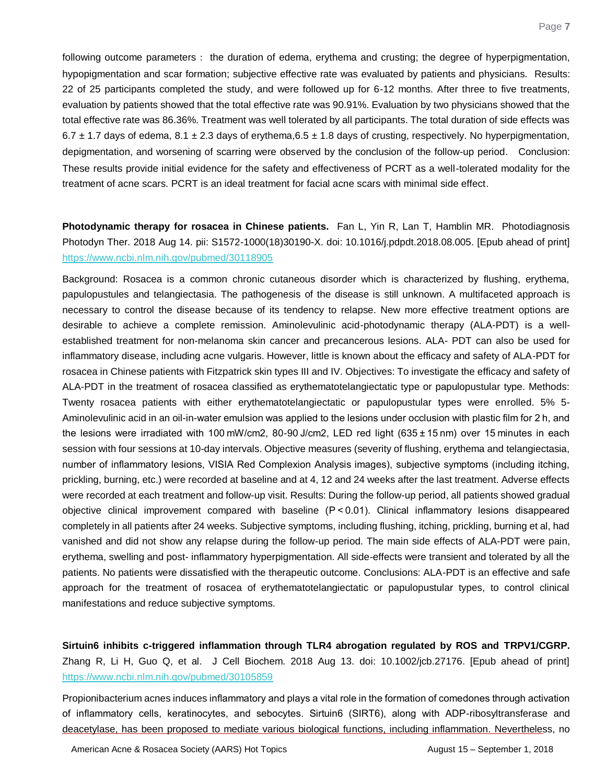following outcome parameters: the duration of edema, erythema and crusting; the degree of hyperpigmentation, hypopigmentation and scar formation; subjective effective rate was evaluated by patients and physicians. Results: 22 of 25 participants completed the study, and were followed up for 6-12 months. After three to five treatments, evaluation by patients showed that the total effective rate was 90.91%. Evaluation by two physicians showed that the total effective rate was 86.36%. Treatment was well tolerated by all participants. The total duration of side effects was 6.7  $\pm$  1.7 days of edema, 8.1  $\pm$  2.3 days of erythema, 6.5  $\pm$  1.8 days of crusting, respectively. No hyperpigmentation, depigmentation, and worsening of scarring were observed by the conclusion of the follow-up period. Conclusion: These results provide initial evidence for the safety and effectiveness of PCRT as a well-tolerated modality for the treatment of acne scars. PCRT is an ideal treatment for facial acne scars with minimal side effect.

## <span id="page-7-0"></span>**Photodynamic therapy for rosacea in Chinese patients.** Fan L, Yin R, Lan T, Hamblin MR. Photodiagnosis Photodyn Ther. 2018 Aug 14. pii: S1572-1000(18)30190-X. doi: 10.1016/j.pdpdt.2018.08.005. [Epub ahead of print] <https://www.ncbi.nlm.nih.gov/pubmed/30118905>

Background: Rosacea is a common chronic cutaneous disorder which is characterized by flushing, erythema, papulopustules and telangiectasia. The pathogenesis of the disease is still unknown. A multifaceted approach is necessary to control the disease because of its tendency to relapse. New more effective treatment options are desirable to achieve a complete remission. Aminolevulinic acid-photodynamic therapy (ALA-PDT) is a wellestablished treatment for non-melanoma skin cancer and precancerous lesions. ALA- PDT can also be used for inflammatory disease, including acne vulgaris. However, little is known about the efficacy and safety of ALA-PDT for rosacea in Chinese patients with Fitzpatrick skin types III and IV. Objectives: To investigate the efficacy and safety of ALA-PDT in the treatment of rosacea classified as erythematotelangiectatic type or papulopustular type. Methods: Twenty rosacea patients with either erythematotelangiectatic or papulopustular types were enrolled. 5% 5- Aminolevulinic acid in an oil-in-water emulsion was applied to the lesions under occlusion with plastic film for 2 h, and the lesions were irradiated with 100 mW/cm2, 80-90 J/cm2, LED red light (635 ± 15 nm) over 15 minutes in each session with four sessions at 10-day intervals. Objective measures (severity of flushing, erythema and telangiectasia, number of inflammatory lesions, VISIA Red Complexion Analysis images), subjective symptoms (including itching, prickling, burning, etc.) were recorded at baseline and at 4, 12 and 24 weeks after the last treatment. Adverse effects were recorded at each treatment and follow-up visit. Results: During the follow-up period, all patients showed gradual objective clinical improvement compared with baseline (P < 0.01). Clinical inflammatory lesions disappeared completely in all patients after 24 weeks. Subjective symptoms, including flushing, itching, prickling, burning et al, had vanished and did not show any relapse during the follow-up period. The main side effects of ALA-PDT were pain, erythema, swelling and post- inflammatory hyperpigmentation. All side-effects were transient and tolerated by all the patients. No patients were dissatisfied with the therapeutic outcome. Conclusions: ALA-PDT is an effective and safe approach for the treatment of rosacea of erythematotelangiectatic or papulopustular types, to control clinical manifestations and reduce subjective symptoms.

<span id="page-7-1"></span>**Sirtuin6 inhibits c-triggered inflammation through TLR4 abrogation regulated by ROS and TRPV1/CGRP.** Zhang R, Li H, Guo Q, et al. J Cell Biochem. 2018 Aug 13. doi: 10.1002/jcb.27176. [Epub ahead of print] <https://www.ncbi.nlm.nih.gov/pubmed/30105859>

Propionibacterium acnes induces inflammatory and plays a vital role in the formation of comedones through activation of inflammatory cells, keratinocytes, and sebocytes. Sirtuin6 (SIRT6), along with ADP-ribosyltransferase and deacetylase, has been proposed to mediate various biological functions, including inflammation. Nevertheless, no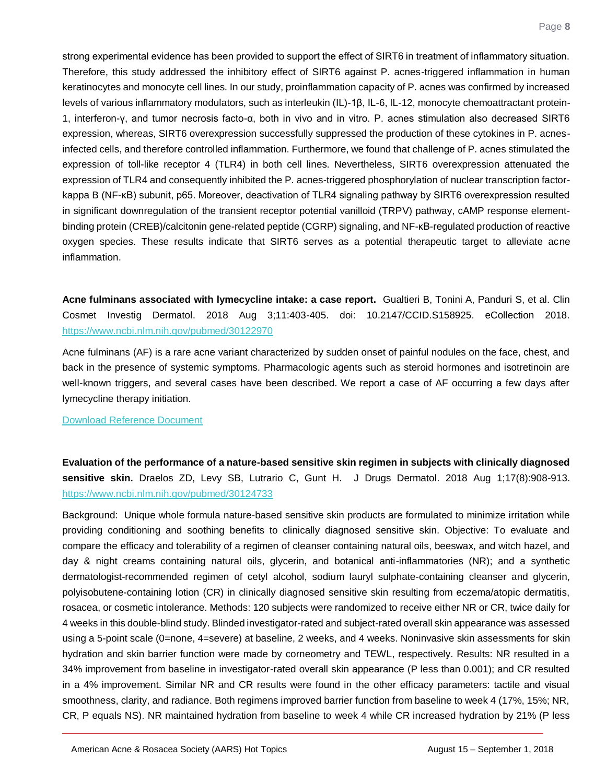strong experimental evidence has been provided to support the effect of SIRT6 in treatment of inflammatory situation. Therefore, this study addressed the inhibitory effect of SIRT6 against P. acnes-triggered inflammation in human keratinocytes and monocyte cell lines. In our study, proinflammation capacity of P. acnes was confirmed by increased levels of various inflammatory modulators, such as interleukin (IL)-1β, IL-6, IL-12, monocyte chemoattractant protein-1, interferon-γ, and tumor necrosis facto-α, both in vivo and in vitro. P. acnes stimulation also decreased SIRT6 expression, whereas, SIRT6 overexpression successfully suppressed the production of these cytokines in P. acnesinfected cells, and therefore controlled inflammation. Furthermore, we found that challenge of P. acnes stimulated the expression of toll-like receptor 4 (TLR4) in both cell lines. Nevertheless, SIRT6 overexpression attenuated the expression of TLR4 and consequently inhibited the P. acnes-triggered phosphorylation of nuclear transcription factorkappa B (NF-κB) subunit, p65. Moreover, deactivation of TLR4 signaling pathway by SIRT6 overexpression resulted in significant downregulation of the transient receptor potential vanilloid (TRPV) pathway, cAMP response elementbinding protein (CREB)/calcitonin gene-related peptide (CGRP) signaling, and NF-κB-regulated production of reactive oxygen species. These results indicate that SIRT6 serves as a potential therapeutic target to alleviate acne inflammation.

<span id="page-8-0"></span>**Acne fulminans associated with lymecycline intake: a case report.** Gualtieri B, Tonini A, Panduri S, et al. Clin Cosmet Investig Dermatol. 2018 Aug 3;11:403-405. doi: 10.2147/CCID.S158925. eCollection 2018. <https://www.ncbi.nlm.nih.gov/pubmed/30122970>

Acne fulminans (AF) is a rare acne variant characterized by sudden onset of painful nodules on the face, chest, and back in the presence of systemic symptoms. Pharmacologic agents such as steroid hormones and isotretinoin are well-known triggers, and several cases have been described. We report a case of AF occurring a few days after lymecycline therapy initiation.

#### [Download Reference Document](http://files.constantcontact.com/c2fa20d1101/5327b5ae-9876-4481-9fd9-1fe6d2e816f2.pdf)

<span id="page-8-1"></span>**Evaluation of the performance of a nature-based sensitive skin regimen in subjects with clinically diagnosed sensitive skin.** Draelos ZD, Levy SB, Lutrario C, Gunt H. J Drugs Dermatol. 2018 Aug 1;17(8):908-913. <https://www.ncbi.nlm.nih.gov/pubmed/30124733>

Background: Unique whole formula nature-based sensitive skin products are formulated to minimize irritation while providing conditioning and soothing benefits to clinically diagnosed sensitive skin. Objective: To evaluate and compare the efficacy and tolerability of a regimen of cleanser containing natural oils, beeswax, and witch hazel, and day & night creams containing natural oils, glycerin, and botanical anti-inflammatories (NR); and a synthetic dermatologist-recommended regimen of cetyl alcohol, sodium lauryl sulphate-containing cleanser and glycerin, polyisobutene-containing lotion (CR) in clinically diagnosed sensitive skin resulting from eczema/atopic dermatitis, rosacea, or cosmetic intolerance. Methods: 120 subjects were randomized to receive either NR or CR, twice daily for 4 weeks in this double-blind study. Blinded investigator-rated and subject-rated overall skin appearance was assessed using a 5-point scale (0=none, 4=severe) at baseline, 2 weeks, and 4 weeks. Noninvasive skin assessments for skin hydration and skin barrier function were made by corneometry and TEWL, respectively. Results: NR resulted in a 34% improvement from baseline in investigator-rated overall skin appearance (P less than 0.001); and CR resulted in a 4% improvement. Similar NR and CR results were found in the other efficacy parameters: tactile and visual smoothness, clarity, and radiance. Both regimens improved barrier function from baseline to week 4 (17%, 15%; NR, CR, P equals NS). NR maintained hydration from baseline to week 4 while CR increased hydration by 21% (P less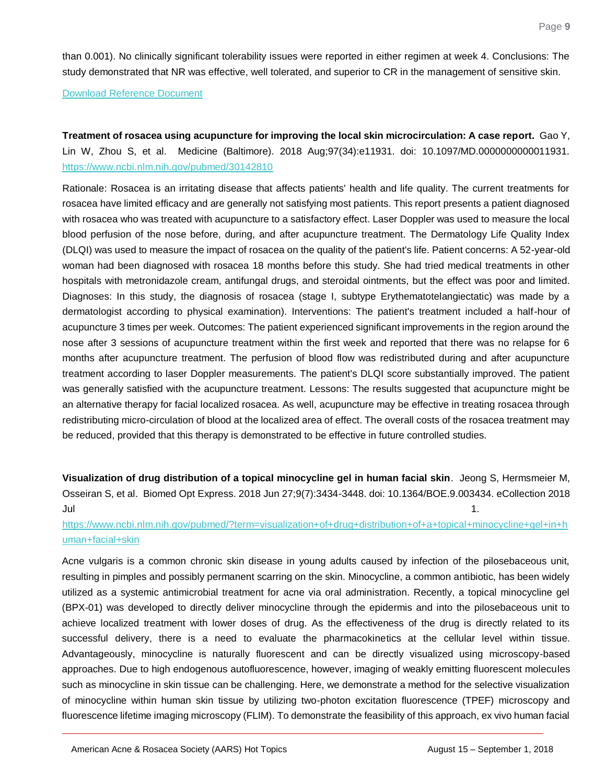than 0.001). No clinically significant tolerability issues were reported in either regimen at week 4. Conclusions: The study demonstrated that NR was effective, well tolerated, and superior to CR in the management of sensitive skin.

[Download Reference Document](http://files.constantcontact.com/c2fa20d1101/c33ad907-3cd8-4619-8c3c-8e06c205d2ad.pdf)

<span id="page-9-0"></span>**Treatment of rosacea using acupuncture for improving the local skin microcirculation: A case report.** Gao Y, Lin W, Zhou S, et al. Medicine (Baltimore). 2018 Aug;97(34):e11931. doi: 10.1097/MD.0000000000011931. <https://www.ncbi.nlm.nih.gov/pubmed/30142810>

Rationale: Rosacea is an irritating disease that affects patients' health and life quality. The current treatments for rosacea have limited efficacy and are generally not satisfying most patients. This report presents a patient diagnosed with rosacea who was treated with acupuncture to a satisfactory effect. Laser Doppler was used to measure the local blood perfusion of the nose before, during, and after acupuncture treatment. The Dermatology Life Quality Index (DLQI) was used to measure the impact of rosacea on the quality of the patient's life. Patient concerns: A 52-year-old woman had been diagnosed with rosacea 18 months before this study. She had tried medical treatments in other hospitals with metronidazole cream, antifungal drugs, and steroidal ointments, but the effect was poor and limited. Diagnoses: In this study, the diagnosis of rosacea (stage I, subtype Erythematotelangiectatic) was made by a dermatologist according to physical examination). Interventions: The patient's treatment included a half-hour of acupuncture 3 times per week. Outcomes: The patient experienced significant improvements in the region around the nose after 3 sessions of acupuncture treatment within the first week and reported that there was no relapse for 6 months after acupuncture treatment. The perfusion of blood flow was redistributed during and after acupuncture treatment according to laser Doppler measurements. The patient's DLQI score substantially improved. The patient was generally satisfied with the acupuncture treatment. Lessons: The results suggested that acupuncture might be an alternative therapy for facial localized rosacea. As well, acupuncture may be effective in treating rosacea through redistributing micro-circulation of blood at the localized area of effect. The overall costs of the rosacea treatment may be reduced, provided that this therapy is demonstrated to be effective in future controlled studies.

<span id="page-9-1"></span>**Visualization of drug distribution of a topical minocycline gel in human facial skin**. Jeong S, Hermsmeier M, Osseiran S, et al. Biomed Opt Express. 2018 Jun 27;9(7):3434-3448. doi: 10.1364/BOE.9.003434. eCollection 2018  $J$ ul  $J$ ul  $J$  1.  $J$  1.  $J$  1.  $J$  1.  $J$  1.  $J$  1.  $J$  1.  $J$  1.  $J$  1.  $J$  1.  $J$  1.  $J$  1.  $J$  1.  $J$  1.  $J$  1.  $J$  1.  $J$  1.  $J$  1.  $J$  1.  $J$  1.  $J$  1.  $J$  1.  $J$  1.  $J$  1.  $J$  1.  $J$  1.  $J$  1.  $J$  1.  $J$  1.  $J$  1.

### [https://www.ncbi.nlm.nih.gov/pubmed/?term=visualization+of+drug+distribution+of+a+topical+minocycline+gel+in+h](https://www.ncbi.nlm.nih.gov/pubmed/?term=visualization+of+drug+distribution+of+a+topical+minocycline+gel+in+human+facial+skin) [uman+facial+skin](https://www.ncbi.nlm.nih.gov/pubmed/?term=visualization+of+drug+distribution+of+a+topical+minocycline+gel+in+human+facial+skin)

Acne vulgaris is a common chronic skin disease in young adults caused by infection of the pilosebaceous unit, resulting in pimples and possibly permanent scarring on the skin. Minocycline, a common antibiotic, has been widely utilized as a systemic antimicrobial treatment for acne via oral administration. Recently, a topical minocycline gel (BPX-01) was developed to directly deliver minocycline through the epidermis and into the pilosebaceous unit to achieve localized treatment with lower doses of drug. As the effectiveness of the drug is directly related to its successful delivery, there is a need to evaluate the pharmacokinetics at the cellular level within tissue. Advantageously, minocycline is naturally fluorescent and can be directly visualized using microscopy-based approaches. Due to high endogenous autofluorescence, however, imaging of weakly emitting fluorescent molecules such as minocycline in skin tissue can be challenging. Here, we demonstrate a method for the selective visualization of minocycline within human skin tissue by utilizing two-photon excitation fluorescence (TPEF) microscopy and fluorescence lifetime imaging microscopy (FLIM). To demonstrate the feasibility of this approach, ex vivo human facial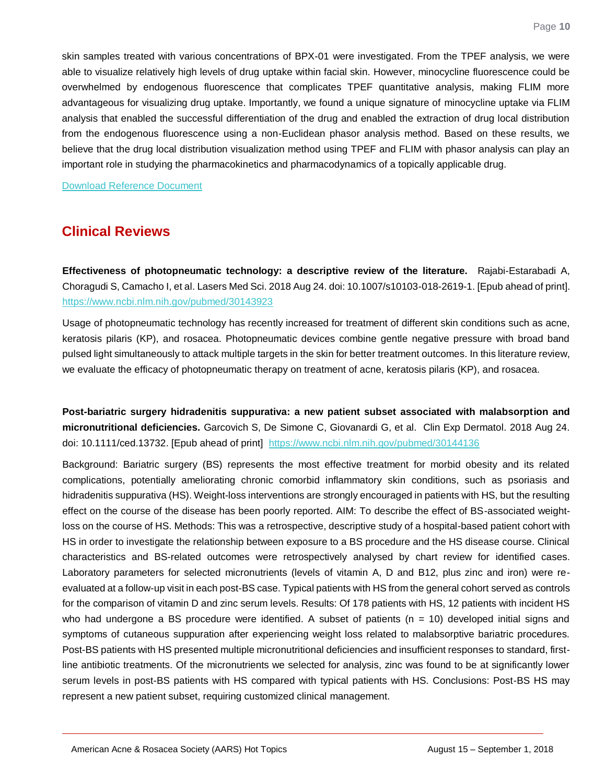skin samples treated with various concentrations of BPX-01 were investigated. From the TPEF analysis, we were able to visualize relatively high levels of drug uptake within facial skin. However, minocycline fluorescence could be overwhelmed by endogenous fluorescence that complicates TPEF quantitative analysis, making FLIM more advantageous for visualizing drug uptake. Importantly, we found a unique signature of minocycline uptake via FLIM analysis that enabled the successful differentiation of the drug and enabled the extraction of drug local distribution from the endogenous fluorescence using a non-Euclidean phasor analysis method. Based on these results, we believe that the drug local distribution visualization method using TPEF and FLIM with phasor analysis can play an important role in studying the pharmacokinetics and pharmacodynamics of a topically applicable drug.

[Download Reference Document](http://files.constantcontact.com/c2fa20d1101/c6caa730-bc07-4944-affc-bdea7bd64e90.pdf)

## **Clinical Reviews**

<span id="page-10-0"></span>**Effectiveness of photopneumatic technology: a descriptive review of the literature.** Rajabi-Estarabadi A, Choragudi S, Camacho I, et al. Lasers Med Sci. 2018 Aug 24. doi: 10.1007/s10103-018-2619-1. [Epub ahead of print]. <https://www.ncbi.nlm.nih.gov/pubmed/30143923>

Usage of photopneumatic technology has recently increased for treatment of different skin conditions such as acne, keratosis pilaris (KP), and rosacea. Photopneumatic devices combine gentle negative pressure with broad band pulsed light simultaneously to attack multiple targets in the skin for better treatment outcomes. In this literature review, we evaluate the efficacy of photopneumatic therapy on treatment of acne, keratosis pilaris (KP), and rosacea.

<span id="page-10-1"></span>**Post-bariatric surgery hidradenitis suppurativa: a new patient subset associated with malabsorption and micronutritional deficiencies.** Garcovich S, De Simone C, Giovanardi G, et al. Clin Exp Dermatol. 2018 Aug 24. doi: 10.1111/ced.13732. [Epub ahead of print] <https://www.ncbi.nlm.nih.gov/pubmed/30144136>

Background: Bariatric surgery (BS) represents the most effective treatment for morbid obesity and its related complications, potentially ameliorating chronic comorbid inflammatory skin conditions, such as psoriasis and hidradenitis suppurativa (HS). Weight-loss interventions are strongly encouraged in patients with HS, but the resulting effect on the course of the disease has been poorly reported. AIM: To describe the effect of BS-associated weightloss on the course of HS. Methods: This was a retrospective, descriptive study of a hospital-based patient cohort with HS in order to investigate the relationship between exposure to a BS procedure and the HS disease course. Clinical characteristics and BS-related outcomes were retrospectively analysed by chart review for identified cases. Laboratory parameters for selected micronutrients (levels of vitamin A, D and B12, plus zinc and iron) were reevaluated at a follow-up visit in each post-BS case. Typical patients with HS from the general cohort served as controls for the comparison of vitamin D and zinc serum levels. Results: Of 178 patients with HS, 12 patients with incident HS who had undergone a BS procedure were identified. A subset of patients  $(n = 10)$  developed initial signs and symptoms of cutaneous suppuration after experiencing weight loss related to malabsorptive bariatric procedures. Post-BS patients with HS presented multiple micronutritional deficiencies and insufficient responses to standard, firstline antibiotic treatments. Of the micronutrients we selected for analysis, zinc was found to be at significantly lower serum levels in post-BS patients with HS compared with typical patients with HS. Conclusions: Post-BS HS may represent a new patient subset, requiring customized clinical management.